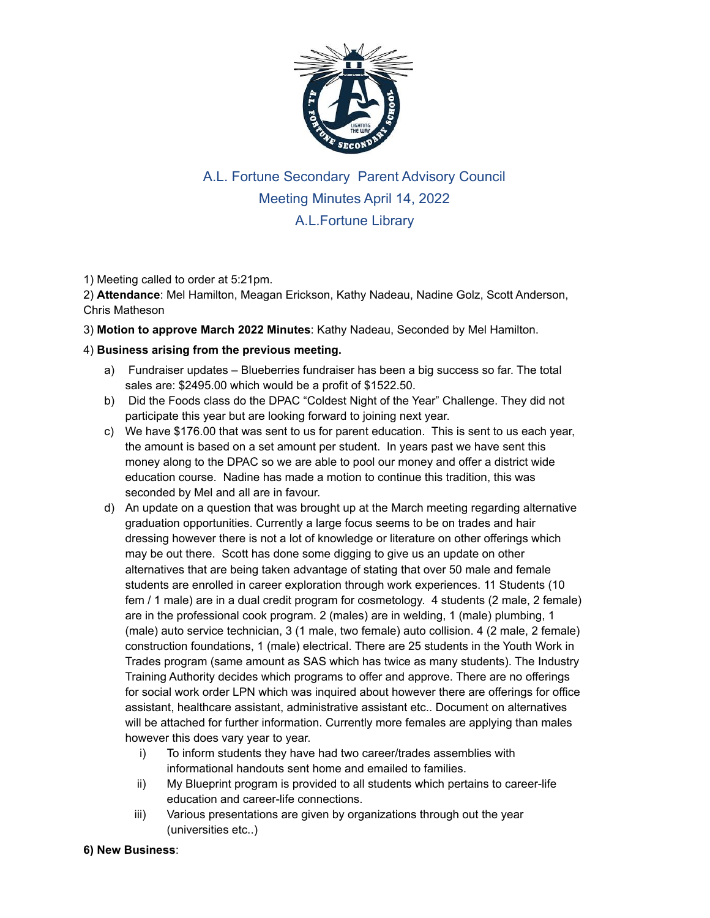

## A.L. Fortune Secondary Parent Advisory Council Meeting Minutes April 14, 2022 A.L.Fortune Library

1) Meeting called to order at 5:21pm.

2) **Attendance**: Mel Hamilton, Meagan Erickson, Kathy Nadeau, Nadine Golz, Scott Anderson, Chris Matheson

3) **Motion to approve March 2022 Minutes**: Kathy Nadeau, Seconded by Mel Hamilton.

## 4) **Business arising from the previous meeting.**

- a) Fundraiser updates Blueberries fundraiser has been a big success so far. The total sales are: \$2495.00 which would be a profit of \$1522.50.
- b) Did the Foods class do the DPAC "Coldest Night of the Year" Challenge. They did not participate this year but are looking forward to joining next year.
- c) We have \$176.00 that was sent to us for parent education. This is sent to us each year, the amount is based on a set amount per student. In years past we have sent this money along to the DPAC so we are able to pool our money and offer a district wide education course. Nadine has made a motion to continue this tradition, this was seconded by Mel and all are in favour.
- d) An update on a question that was brought up at the March meeting regarding alternative graduation opportunities. Currently a large focus seems to be on trades and hair dressing however there is not a lot of knowledge or literature on other offerings which may be out there. Scott has done some digging to give us an update on other alternatives that are being taken advantage of stating that over 50 male and female students are enrolled in career exploration through work experiences. 11 Students (10 fem / 1 male) are in a dual credit program for cosmetology. 4 students (2 male, 2 female) are in the professional cook program. 2 (males) are in welding, 1 (male) plumbing, 1 (male) auto service technician, 3 (1 male, two female) auto collision. 4 (2 male, 2 female) construction foundations, 1 (male) electrical. There are 25 students in the Youth Work in Trades program (same amount as SAS which has twice as many students). The Industry Training Authority decides which programs to offer and approve. There are no offerings for social work order LPN which was inquired about however there are offerings for office assistant, healthcare assistant, administrative assistant etc.. Document on alternatives will be attached for further information. Currently more females are applying than males however this does vary year to year.
	- i) To inform students they have had two career/trades assemblies with informational handouts sent home and emailed to families.
	- ii) My Blueprint program is provided to all students which pertains to career-life education and career-life connections.
	- iii) Various presentations are given by organizations through out the year (universities etc..)

## **6) New Business**: